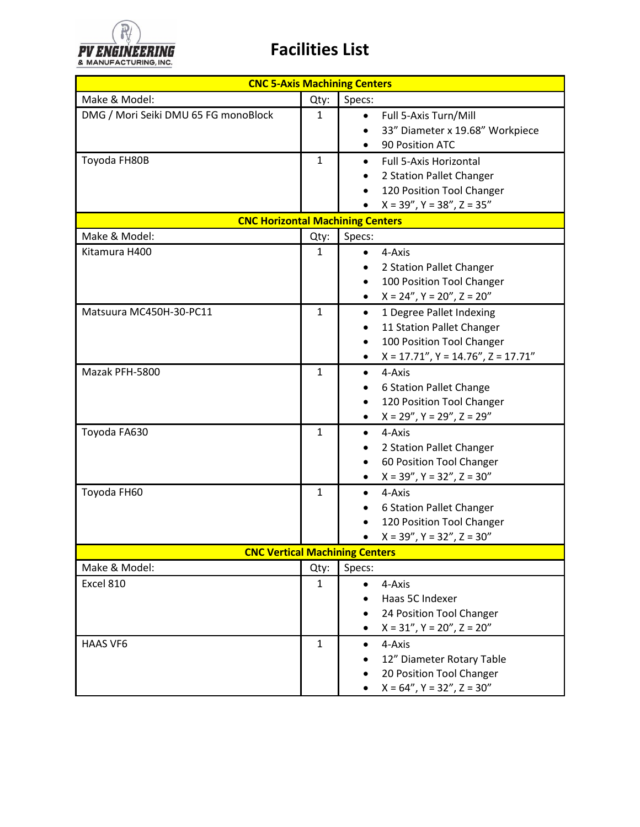

|                                      |              | <b>CNC 5-Axis Machining Centers</b>                                                                                                                                           |
|--------------------------------------|--------------|-------------------------------------------------------------------------------------------------------------------------------------------------------------------------------|
| Make & Model:                        | Qty:         | Specs:                                                                                                                                                                        |
| DMG / Mori Seiki DMU 65 FG monoBlock | 1            | Full 5-Axis Turn/Mill<br>$\bullet$<br>33" Diameter x 19.68" Workpiece<br>90 Position ATC                                                                                      |
| Toyoda FH80B                         | $\mathbf{1}$ | <b>Full 5-Axis Horizontal</b><br>$\bullet$<br>2 Station Pallet Changer<br>٠<br>120 Position Tool Changer<br>$\bullet$<br>$X = 39''$ , $Y = 38''$ , $Z = 35''$                 |
|                                      |              | <b>CNC Horizontal Machining Centers</b>                                                                                                                                       |
| Make & Model:                        | Qty:         | Specs:                                                                                                                                                                        |
| Kitamura H400                        | 1            | 4-Axis<br>$\bullet$<br>2 Station Pallet Changer<br>٠<br>100 Position Tool Changer<br>$\bullet$<br>$X = 24''$ , $Y = 20''$ , $Z = 20''$<br>$\bullet$                           |
| Matsuura MC450H-30-PC11              | $\mathbf{1}$ | 1 Degree Pallet Indexing<br>$\bullet$<br>11 Station Pallet Changer<br>٠<br>100 Position Tool Changer<br>$\bullet$<br>$X = 17.71$ ", $Y = 14.76$ ", $Z = 17.71$ "<br>$\bullet$ |
| Mazak PFH-5800                       | $\mathbf{1}$ | 4-Axis<br>$\bullet$<br>6 Station Pallet Change<br>$\bullet$<br>120 Position Tool Changer<br>$\bullet$<br>$X = 29''$ , $Y = 29''$ , $Z = 29''$<br>$\bullet$                    |
| Toyoda FA630                         | $\mathbf{1}$ | 4-Axis<br>$\bullet$<br>2 Station Pallet Changer<br>60 Position Tool Changer<br>$X = 39''$ , $Y = 32''$ , $Z = 30''$                                                           |
| Toyoda FH60                          | $\mathbf{1}$ | 4-Axis<br>$\bullet$<br>6 Station Pallet Changer<br>120 Position Tool Changer<br>$X = 39''$ , $Y = 32''$ , $Z = 30''$                                                          |
|                                      |              | <b>CNC Vertical Machining Centers</b>                                                                                                                                         |
| Make & Model:                        | Qty:         | Specs:                                                                                                                                                                        |
| Excel 810                            | $\mathbf{1}$ | 4-Axis<br>$\bullet$<br>Haas 5C Indexer<br>24 Position Tool Changer<br>$X = 31''$ , $Y = 20''$ , $Z = 20''$<br>$\bullet$                                                       |
| <b>HAAS VF6</b>                      | $\mathbf{1}$ | 4-Axis<br>$\bullet$<br>12" Diameter Rotary Table<br>20 Position Tool Changer<br>$X = 64''$ , $Y = 32''$ , $Z = 30''$                                                          |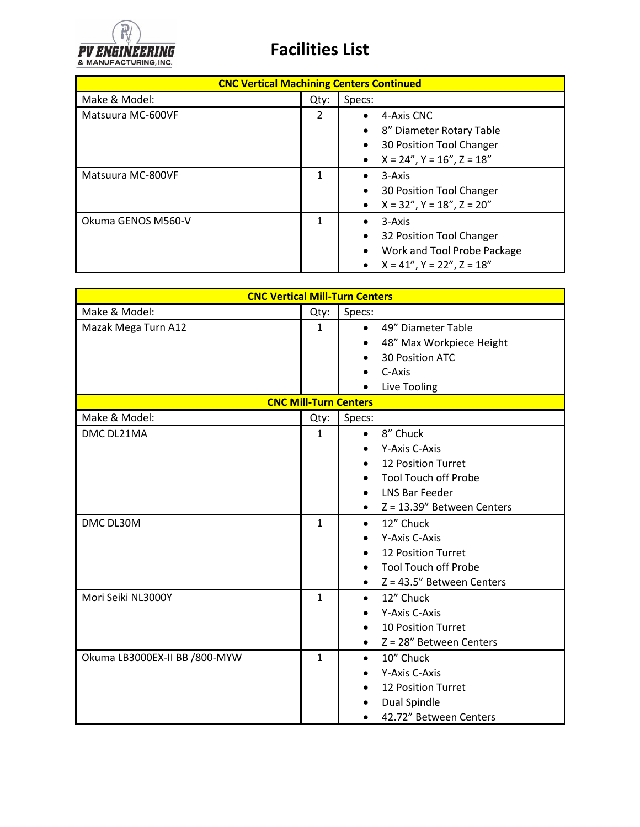

| <b>CNC Vertical Machining Centers Continued</b> |      |                                                                                                                                                       |  |
|-------------------------------------------------|------|-------------------------------------------------------------------------------------------------------------------------------------------------------|--|
| Make & Model:                                   | Qty: | Specs:                                                                                                                                                |  |
| Matsuura MC-600VF                               | 2    | 4-Axis CNC<br>8" Diameter Rotary Table<br>٠<br>30 Position Tool Changer<br>٠<br>$X = 24$ ", $Y = 16$ ", $Z = 18$ "<br>$\bullet$                       |  |
| Matsuura MC-800VF                               | 1    | 3-Axis<br>$\bullet$<br>30 Position Tool Changer<br>$\bullet$<br>$X = 32''$ , $Y = 18''$ , $Z = 20''$<br>$\bullet$                                     |  |
| Okuma GENOS M560-V                              |      | 3-Axis<br>$\bullet$<br>32 Position Tool Changer<br>$\bullet$<br>Work and Tool Probe Package<br>$\bullet$<br>$X = 41''$ , $Y = 22''$ , $Z = 18''$<br>٠ |  |

| <b>CNC Vertical Mill-Turn Centers</b> |                              |                                                                                                                                                                                              |  |  |
|---------------------------------------|------------------------------|----------------------------------------------------------------------------------------------------------------------------------------------------------------------------------------------|--|--|
| Make & Model:                         | Qty:                         | Specs:                                                                                                                                                                                       |  |  |
| Mazak Mega Turn A12                   | $\mathbf{1}$                 | 49" Diameter Table<br>$\bullet$<br>48" Max Workpiece Height<br>30 Position ATC<br>C-Axis<br>Live Tooling                                                                                     |  |  |
| <b>CNC Mill-Turn Centers</b>          |                              |                                                                                                                                                                                              |  |  |
| Make & Model:                         | Qty:                         | Specs:                                                                                                                                                                                       |  |  |
| DMC DL21MA<br>DMC DL30M               | $\mathbf{1}$<br>$\mathbf{1}$ | 8" Chuck<br>$\bullet$<br>Y-Axis C-Axis<br>12 Position Turret<br><b>Tool Touch off Probe</b><br><b>LNS Bar Feeder</b><br>$Z = 13.39''$ Between Centers<br>$\bullet$<br>12" Chuck<br>$\bullet$ |  |  |
|                                       |                              | Y-Axis C-Axis<br><b>12 Position Turret</b><br><b>Tool Touch off Probe</b><br>$Z = 43.5"$ Between Centers<br>$\bullet$                                                                        |  |  |
| Mori Seiki NL3000Y                    | $\mathbf{1}$                 | 12" Chuck<br>$\bullet$<br>Y-Axis C-Axis<br><b>10 Position Turret</b><br>Z = 28" Between Centers<br>$\bullet$                                                                                 |  |  |
| Okuma LB3000EX-II BB /800-MYW         | $\mathbf{1}$                 | 10" Chuck<br>$\bullet$<br>Y-Axis C-Axis<br>12 Position Turret<br>Dual Spindle<br>42.72" Between Centers                                                                                      |  |  |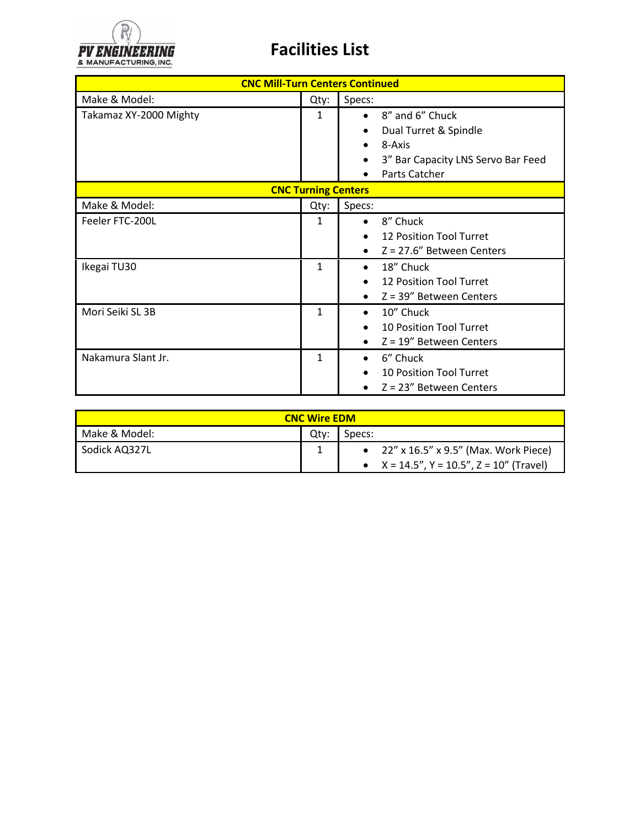

| <b>CNC Mill-Turn Centers Continued</b> |              |                                                                                                                                     |  |  |
|----------------------------------------|--------------|-------------------------------------------------------------------------------------------------------------------------------------|--|--|
| Make & Model:                          | Qty:         | Specs:                                                                                                                              |  |  |
| Takamaz XY-2000 Mighty                 | 1            | 8" and 6" Chuck<br>$\bullet$<br>Dual Turret & Spindle<br>$\bullet$<br>8-Axis<br>3" Bar Capacity LNS Servo Bar Feed<br>Parts Catcher |  |  |
| <b>CNC Turning Centers</b>             |              |                                                                                                                                     |  |  |
| Make & Model:                          | Qty:         | Specs:                                                                                                                              |  |  |
| Feeler FTC-200L                        | 1            | 8" Chuck<br>$\bullet$<br>12 Position Tool Turret<br>$\bullet$<br>$Z = 27.6$ " Between Centers<br>$\bullet$                          |  |  |
| Ikegai TU30                            | 1            | 18" Chuck<br>$\bullet$<br>12 Position Tool Turret<br>$Z = 39''$ Between Centers<br>$\bullet$                                        |  |  |
| Mori Seiki SL 3B                       | $\mathbf{1}$ | 10" Chuck<br>$\bullet$<br><b>10 Position Tool Turret</b><br>$Z = 19''$ Between Centers<br>$\bullet$                                 |  |  |
| Nakamura Slant Jr.                     | 1            | 6" Chuck<br>٠<br>10 Position Tool Turret<br>$\bullet$<br>$Z = 23''$ Between Centers                                                 |  |  |

| <b>CNC Wire EDM</b> |      |                                                   |  |  |
|---------------------|------|---------------------------------------------------|--|--|
| Make & Model:       | Qtv: | Specs:                                            |  |  |
| Sodick AQ327L       |      | • $22''$ x $16.5''$ x $9.5''$ (Max. Work Piece)   |  |  |
|                     |      | • $X = 14.5$ ", $Y = 10.5$ ", $Z = 10$ " (Travel) |  |  |